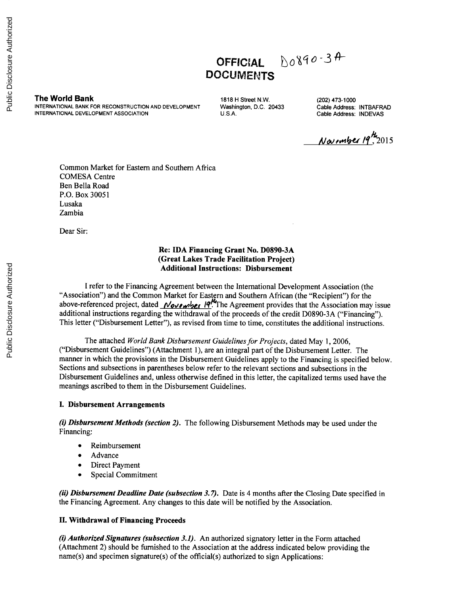OFFICIAL  $60890 - 34$ **DOCUMENTS**

**The World Bank** 1818 H Street N.W. (202) 473-1000<br>INTERNATIONAL BANK FOR RECONSTRUCTION AND DEVELOPMENT Washington, D.C. 20433 Cable Address: INTBAFRAD INTERNATIONAL BANK FOR RECONSTRUCTION AND DEVELOPMENT **Washington, D.C. 20433** Cable Address: INTBAFR<br>INTERNATIONAL DEVELOPMENT ASSOCIATION U.S.A. U.S.A. Cable Address: INDEVAS **INTERNATIONAL DEVELOPMENT ASSOCIATION** 

<u>November</u> 19<sup>th</sup><sub>2015</sub>

Common Market for Eastern and Southern Africa **COMESA** Centre Ben Bella Road P.O. Box **30051** Lusaka Zambia

Dear Sir:

### **Re: IDA Financing Grant** No. **D0890-3A (Great Lakes Trade Facilitation Project) Additional Instructions: Disbursement**

**I** refer to the Financing Agreement between the International Development Association (the "Association") and the Common Market for Eastern and Southern African (the "Recipient") for the above-referenced project, dated *November* 19<sup>14</sup>The Agreement provides that the Association may issue additional instructions regarding the withdrawal of the proceeds of the credit **D0890-3A** ("Financing"). This letter ("Disbursement Letter"), as revised from time to time, constitutes the additional instructions.

The attached *World Bank Disbursement Guidelines for Projects,* dated May **1, 2006,** ("Disbursement Guidelines") (Attachment **1),** are an integral part of the Disbursement Letter. The manner in which the provisions in the Disbursement Guidelines apply to the Financing is specified below. Sections and subsections in parentheses below refer to the relevant sections and subsections in the Disbursement Guidelines and, unless otherwise defined in this letter, the capitalized terms used have the meanings ascribed to them in the Disbursement Guidelines.

### **I. Disbursement Arrangements**

(i) *Disbursement Methods (section 2).* The following Disbursement Methods may be used under the Financing:

- **Reimbursement**
- Advance
- Direct Payment
- Special Commitment

*(ii) Disbursement Deadline Date (subsection 3.7).* Date is 4 months after the Closing Date specified in the Financing Agreement. Any changes to this date will be notified **by** the Association.

### **II. Withdrawal of Financing Proceeds**

*(i) Authorized Signatures (subsection 3.1).* An authorized signatory letter in the Form attached (Attachment 2) should be furnished to the Association at the address indicated below providing the name(s) and specimen signature(s) of the official(s) authorized to sign Applications: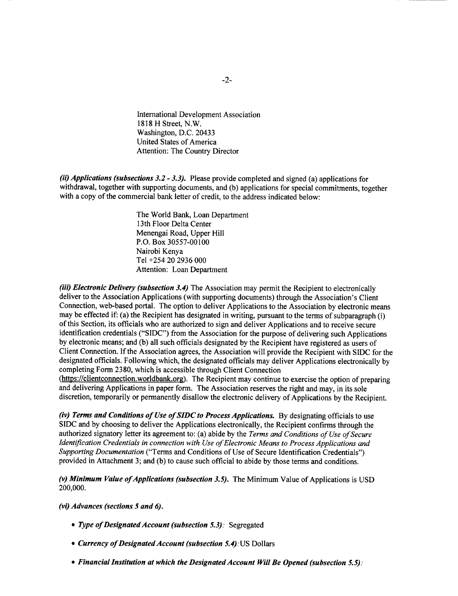International Development Association **1818** H Street, N.W. Washington, **D.C.** 20433 United States of America Attention: The Country Director

*(ii) Applications (subsections 3.2* **-** *3.3).* Please provide completed and signed (a) applications for withdrawal, together with supporting documents, and **(b)** applications for special commitments, together with a copy of the commercial bank letter of credit, to the address indicated below:

> The World Bank, Loan Department 13th Floor Delta Center Menengai Road, Upper Hill P.O. Box **30557-00100** Nairobi Kenya Tel +254 20 **2936 000** Attention: Loan Department

*(iii) Electronic Delivery (subsection 3.4)* The Association may permit the Recipient to electronically deliver to the Association Applications (with supporting documents) through the Association's Client Connection, web-based portal. The option to deliver Applications to the Association **by** electronic means may be effected if: (a) the Recipient has designated in writing, pursuant to the terms of subparagraph (i) of this Section, its officials who are authorized to sign and deliver Applications and to receive secure identification credentials **("SIDC")** from the Association for the purpose of delivering such Applications **by** electronic means; and **(b)** all such officials designated **by** the Recipient have registered as users of Client Connection. **If** the Association agrees, the Association will provide the Recipient with **SIDC** for the designated officials. Following which, the designated officials may deliver Applications electronically **by** completing Form **2380,** which is accessible through Client Connection

(https://clientconnection.worldbank.org). The Recipient may continue to exercise the option of preparing and delivering Applications in paper form. The Association reserves the right and may, in its sole discretion, temporarily or permanently disallow the electronic delivery of Applications **by** the Recipient.

*(iv) Terms and Conditions of Use of SIDC to Process Applications.* **By** designating officials to use **SIDC** and **by** choosing to deliver the Applications electronically, the Recipient confirms through the authorized signatory letter its agreement to: (a) abide **by** the *Terms and Conditions of Use ofSecure Identification Credentials in connection with Use ofElectronic Means to Process Applications and Supporting Documentation* ("Terms and Conditions of Use of Secure Identification Credentials") provided in Attachment **3;** and **(b)** to cause such official to abide **by** those terms and conditions.

*(v) Minimum Value ofApplications (subsection 3.5).* The Minimum Value of Applications is **USD** 200,000.

*(vi) Advances (sections 5 and 6).*

- *\* Type ofDesignatedAccount (subsection 5.3):* Segregated
- *\* Currency ofDesignatedAccount (subsection 5.4):US* Dollars
- *\* Financial Institution at which the Designated Account Will Be Opened (subsection 5.5):*

-2-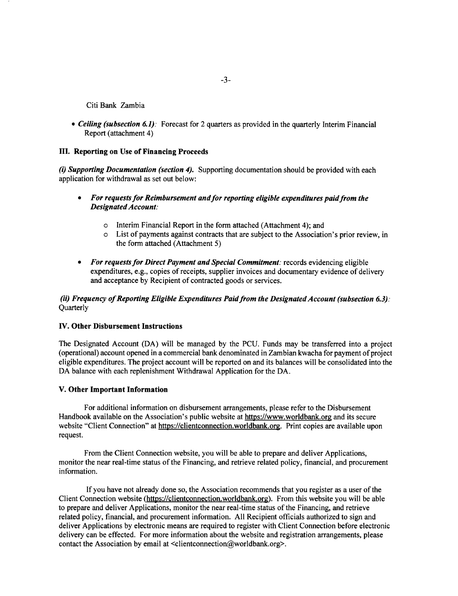Citi Bank Zambia

*Ceiling (subsection 6.1):* Forecast for 2 quarters as provided in the quarterly Interim Financial Report (attachment 4)

#### **III. Reporting on Use of Financing Proceeds**

(i) *Supporting Documentation (section 4).* Supporting documentation should be provided with each application for withdrawal as set out below:

- *\* For requests for Reimbursement and for reporting eligible expenditures paid from the Designated Account:*
	- 0 Interim Financial Report in the form attached (Attachment 4); and
	- o List of payments against contracts that are subject to the Association's prior review, in the form attached (Attachment **5)**
- *\* For requests for Direct Payment and Special Commitment:* records evidencing eligible expenditures, e.g., copies of receipts, supplier invoices and documentary evidence of delivery and acceptance **by** Recipient of contracted goods or services.

#### *(ii) Frequency of Reporting Eligible Expenditures Paid from the Designated Account (subsection 6.3):* **Ouarterly**

#### **IV. Other Disbursement Instructions**

**The** Designated Account **(DA)** will be managed **by** the **PCU.** Funds may be transferred into **a project** (operational) account opened in a commercial bank denominated in Zambian kwacha for payment of project eligible expenditures. The project account will be reported on and its balances will be consolidated into the **DA** balance with each replenishment Withdrawal Application for the **DA.**

#### **V. Other Important Information**

For additional information on disbursement arrangements, please refer to the Disbursement Handbook available on the Association's public website at https://www.worldbank.org and its secure website "Client Connection" at https://clientconnection.worldbank.org. Print copies are available upon request.

From the Client Connection website, you will be able to prepare and deliver Applications, monitor the near real-time status of the Financing, and retrieve related policy, financial, and procurement information.

**If** you have not already done so, the Association recommends that you register as a user of the Client Connection website (https://clientconnection.worldbank.orz). From this website you will be able to prepare and deliver Applications, monitor the near real-time status of the Financing, and retrieve related policy, financial, and procurement information. **All** Recipient officials authorized to sign and deliver Applications **by** electronic means are required to register with Client Connection before electronic delivery can be effected. For more information about the website and registration arrangements, please contact the Association by email at <clientconnection@worldbank.org>.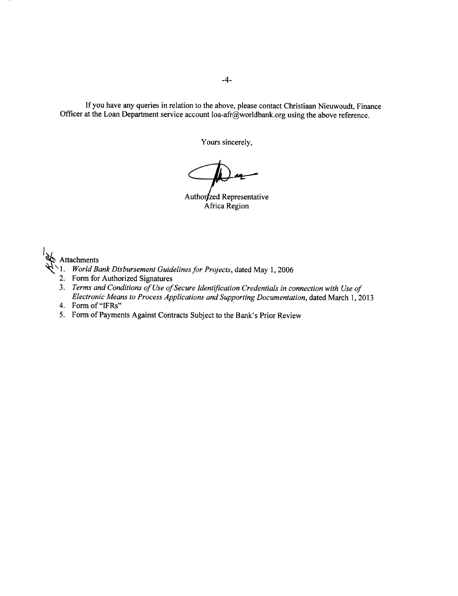**If** you have any queries in relation to the above, please contact Christiaan Nieuwoudt, Finance Officer at the Loan Department service account loa-afr@worldbank.org using the above reference.

Yours sincerely,

Authorzzed Representative Africa Region

Attachments

- **\1.** *World Bank Disbursement Guidelines for Projects,* dated May **1, 2006**
- 2. Form for Authorized Signatures
- **3.** *Terms and Conditions of Use ofSecure Identification Credentials in connection with Use of Electronic Means to Process Applications and Supporting Documentation,* dated March **1, 2013**
- *4.* Form of "IFRs"
- *5.* Form of Payments Against Contracts Subject to the Bank's Prior Review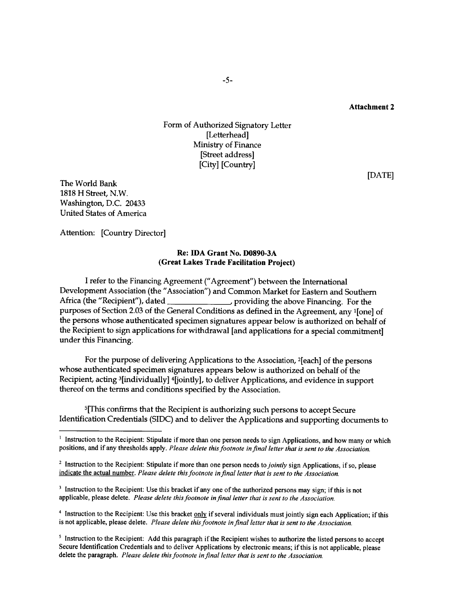# Form of Authorized Signatory Letter [Letterhead] Ministry of Finance [Street address] [City] [Country]

**[DATE]**

The World Bank **1818** H Street, N.W. Washington, **D.C.** 20433 United States of America

Attention: [Country Director]

### Re: **IDA** Grant No. **D0890-3A** (Great Lakes Trade Facilitation Project)

I refer to the Financing Agreement ("Agreement") between the International Development Association (the "Association") and Common Market for Eastern and Southern Africa (the "Recipient"), dated \_\_\_\_\_\_\_\_\_\_\_\_\_\_\_\_\_\_\_\_\_, providing the above Financing. For the **Efficient** (the above Financing. For the providing the above Financing. purposes of Section 2.03 of the General Conditions as defined in the Agreement, any <sup>1</sup>[one] of the persons whose authenticated specimen signatures appear below is authorized on behalf of the Recipient to sign applications for withdrawal [and applications for a special commitment] under this Financing.

For the purpose of delivering Applications to the Association, 2 [each] of the persons whose authenticated specimen signatures appears below is authorized on behalf of the Recipient, acting <sup>3</sup>[individually] <sup>4</sup>[jointly], to deliver Applications, and evidence in support thereof on the terms and conditions specified **by** the Association.

<sup>5</sup>[This confirms that the Recipient is authorizing such persons to accept Secure Identification Credentials **(SIDC)** and to deliver the Applications and supporting documents to

<sup>4</sup> Instruction to the Recipient: Use this bracket only if several individuals must jointly sign each Application; if this is not applicable, please delete. *Please delete this footnote infinal letter that is sent to the Association.*

<sup>5</sup> Instruction to the Recipient: Add this paragraph if the Recipient wishes to authorize the listed persons to accept Secure Identification Credentials and to deliver Applications by electronic means; if this is not appli delete the paragraph. *Please delete this footnote infinal letter that is sent to the Association.*

<sup>&</sup>lt;sup>1</sup> Instruction to the Recipient: Stipulate if more than one person needs to sign Applications, and how many or which positions, and if any thresholds apply. *Please delete this footnote infinal letter that is sent to the Association.*

<sup>&</sup>lt;sup>2</sup> Instruction to the Recipient: Stipulate if more than one person needs to *jointly* sign Applications, if so, please indicate the actual number. *Please delete this footnote infinal letter that is sent to the Association.*

<sup>&</sup>lt;sup>3</sup> Instruction to the Recipient: Use this bracket if any one of the authorized persons may sign; if this is not applicable, please delete. *Please delete this footnote infinal letter that is sent to the Association.*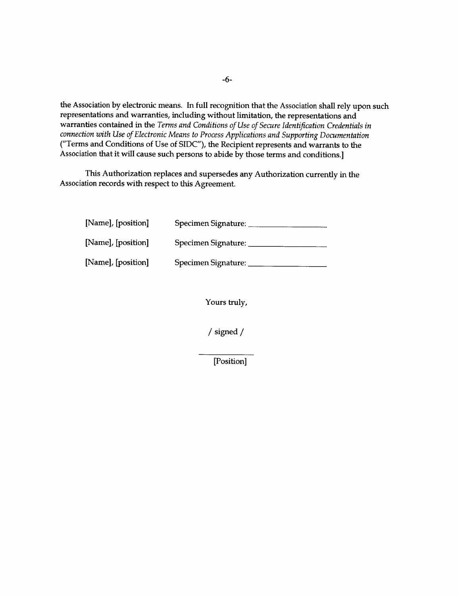the Association **by** electronic means. In full recognition that the Association shall rely upon such representations and warranties, including without limitation, the representations and warranties contained in the *Terms and Conditions of Use of Secure Identification Credentials in connection with Use of Electronic Means to Process Applications and Supporting Documentation* ("Terms and Conditions of Use of **SIDC"),** the Recipient represents and warrants to the Association that it will cause such persons to abide **by** those terms and conditions.]

This Authorization replaces and supersedes any Authorization currently in the Association records with respect to this Agreement.

| [Name], [position] | Specimen Signature: |  |
|--------------------|---------------------|--|
| [Name], [position] | Specimen Signature: |  |
| [Name], [position] | Specimen Signature: |  |

Yours truly,

/ signed **/**

[Position]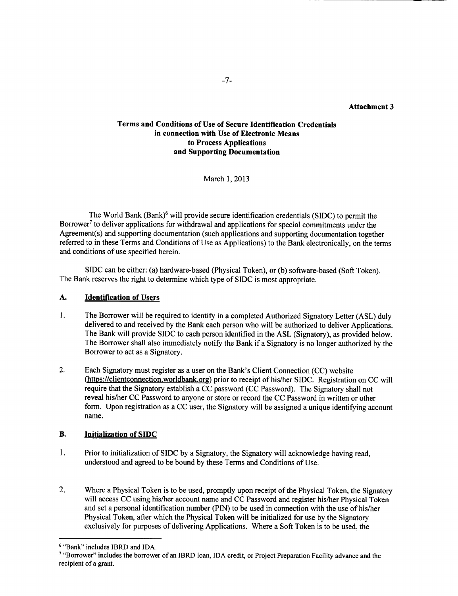**Attachment 3**

### **Terms and Conditions of Use of Secure Identification Credentials in connection with Use of Electronic Means to Process Applications and Supporting Documentation**

March **1, 2013**

The World Bank (Bank)6 will provide secure identification credentials **(SIDC)** to permit the Borrower' to deliver applications for withdrawal and applications for special commitments under the Agreement(s) and supporting documentation (such applications and supporting documentation together referred to in these Terms and Conditions of Use as Applications) to the Bank electronically, on the terms and conditions of use specified herein.

**SIDC** can be either: (a) hardware-based (Physical Token), or **(b)** software-based (Soft Token). The Bank reserves the right to determine which type of **SIDC** is most appropriate.

### **A. Identification of Users**

- **1.** The Borrower will be required to identify in a completed Authorized Signatory Letter **(ASL)** duly delivered to and received **by** the Bank each person who will be authorized to deliver Applications. The Bank will provide **SIDC** to each person identified in the **ASL** (Signatory), as provided below. The Borrower shall also immediately notify the Bank if a Signatory is no longer authorized **by** the Borrower to act as a Signatory.
- 2. Each Signatory must register as a user on the Bank's Client Connection **(CC)** website (https://clientconnection.worldbank.org) prior to receipt of his/her **SIDC.** Registration on **CC** will require that the Signatory establish a **CC** password **(CC** Password). The Signatory shall not reveal his/her **CC** Password to anyone or store or record the **CC** Password in written or other form. Upon registration as a **CC** user, the Signatory will be assigned a unique identifying account name.

### B. **Initialization of SIDC**

- 1. Prior to initialization of **SIDC by** a Signatory, the Signatory will acknowledge having read, understood and agreed to be bound **by** these Terms and Conditions of Use.
- 2. Where a Physical Token is to be used, promptly upon receipt of the Physical Token, the Signatory will access **CC** using his/her account name and **CC** Password and register his/her Physical Token and set a personal identification number **(PIN)** to be used in connection with the use of his/her Physical Token, after which the Physical Token will be initialized for use **by** the Signatory exclusively for purposes of delivering Applications. Where a Soft Token is to be used, the

<sup>6</sup> "Bank" includes IBRD and **IDA.**

<sup>&</sup>quot;Borrower" includes the borrower of an IBRD loan, **IDA** credit, or Project Preparation Facility advance and the recipient of a grant.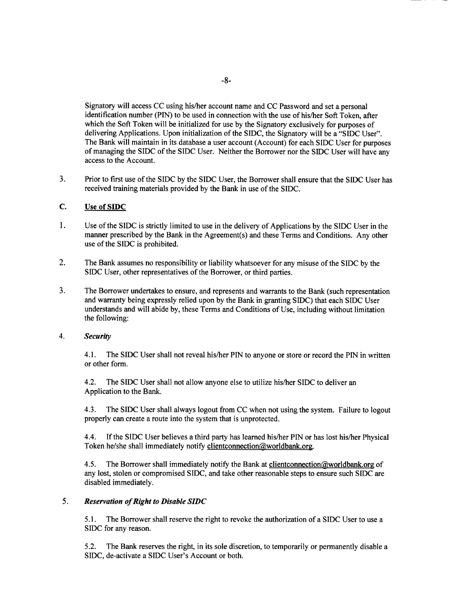Signatory will access **CC** using his/her account name and **CC** Password and set a personal identification number **(PIN)** to be used in connection with the use of his/her Soft Token, after which the Soft Token will be initialized for use **by** the Signatory exclusively for purposes of delivering Applications. Upon initialization of the **SIDC,** the Signatory will be a **"SIDC** User". The Bank will maintain in its database a user account (Account) for each **SIDC** User for purposes of managing the **SIDC** of the **SIDC** User. Neither the Borrower nor the **SIDC** User will have any access to the Account.

**3.** Prior to first use of the **SIDC by** the **SIDC** User, the Borrower shall ensure that the **SIDC** User has received training materials provided **by** the Bank in use of the **SIDC.**

#### **C.** Use of **SIDC**

- $1.$ Use of the **SIDC** is strictly limited to use in the delivery of Applications **by** the **SIDC** User in the manner prescribed **by** the Bank in the Agreement(s) and these Terms and Conditions. Any other use of the **SIDC** is prohibited.
- 2. The Bank assumes no responsibility or liability whatsoever for any misuse of the **SIDC by** the **SIDC** User, other representatives of the Borrower, or third parties.
- **3.** The Borrower undertakes to ensure, and represents and warrants to the Bank (such representation and warranty being expressly relied upon **by** the Bank in granting SIDC) that each **SIDC** User understands and will abide **by,** these Terms and Conditions of Use, including without limitation the following:

#### 4. *Security*

4.1. The **SIDC** User shall not reveal his/her **PIN** to anyone or store or record the **PIN** in written or other form.

4.2. The **SIDC** User shall not allow anyone else to utilize his/her **SIDC** to deliver an Application to the Bank.

4.3. The **SIDC** User shall always logout from **CC** when not using the system. Failure to logout properly can create a route into the system that is unprotected.

4.4. **If** the **SIDC** User believes a third party has learned his/her **PIN** or has lost his/her Physical Token he/she shall immediately notify clientconnection@worldbank.org.

4.5. The Borrower shall immediately notify the Bank at clientconnection@worldbank.org of any lost, stolen or compromised **SIDC,** and take other reasonable steps to ensure such **SIDC** are disabled immediately.

#### *5. Reservation of Right to Disable SIDC*

*5.1.* The Borrower shall reserve the right to revoke the authorization of a **SIDC** User to use a **SIDC** for any reason.

*5.2.* The Bank reserves the right, in its sole discretion, to temporarily or permanently disable a **SIDC,** de-activate a **SIDC** User's Account or both.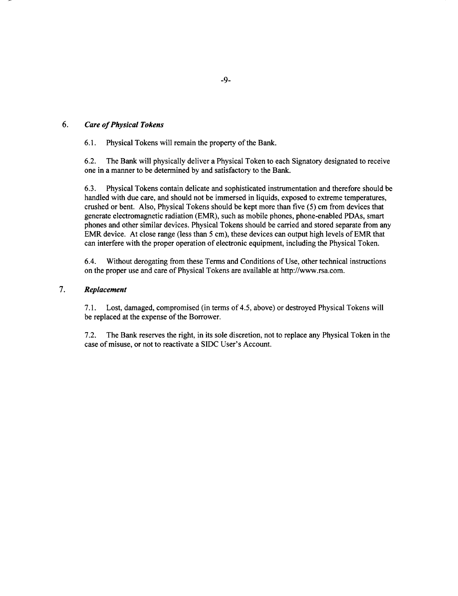# *6. Care of Physical Tokens*

**6.1.** Physical Tokens will remain the property of the Bank.

**6.2.** The Bank will physically deliver a Physical Token to each Signatory designated to receive one in a manner to be determined **by** and satisfactory to the Bank.

**6.3.** Physical Tokens contain delicate and sophisticated instrumentation and therefore should be handled with due care, and should not be immersed in liquids, exposed to extreme temperatures, crushed or bent. Also, Physical Tokens should be kept more than five **(5)** cm from devices that generate electromagnetic radiation (EMR), such as mobile phones, phone-enabled PDAs, smart phones and other similar devices. Physical Tokens should be carried and stored separate from any EMR device. At close range (less than **5** cm), these devices can output high levels of EMR that can interfere with the proper operation of electronic equipment, including the Physical Token.

6.4. Without derogating from these Terms and Conditions of Use, other technical instructions on the proper use and care of Physical Tokens are available at http://www.rsa.com.

### 7. *Replacement*

**7.1.** Lost, damaged, compromised (in terms of 4.5, above) or destroyed Physical Tokens will be replaced at the expense of the Borrower.

**7.2.** The Bank reserves the right, in its sole discretion, not to replace any Physical Token in the case of misuse, or not to reactivate a **SIDC** User's Account.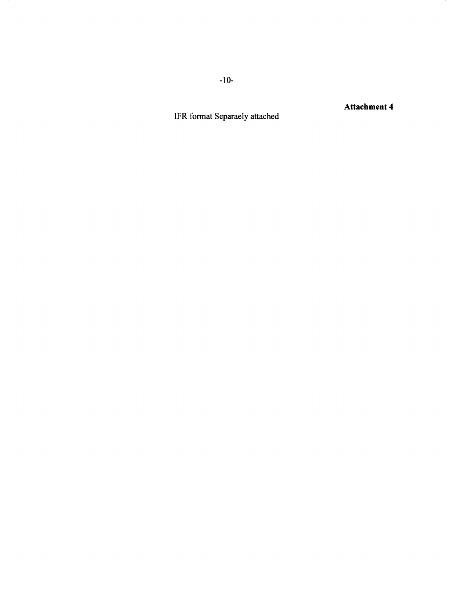IFR format Separaely attached

Attachment 4

**-10-**